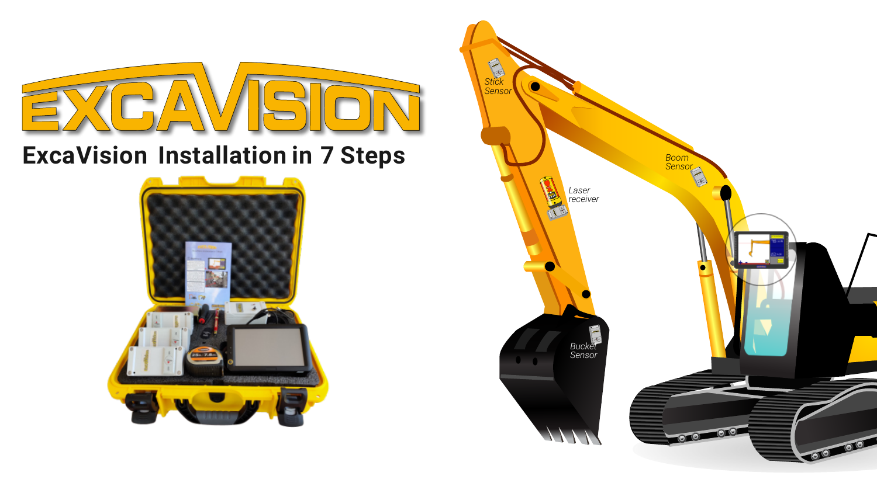

# **ExcaVision Installation in 7 Steps**



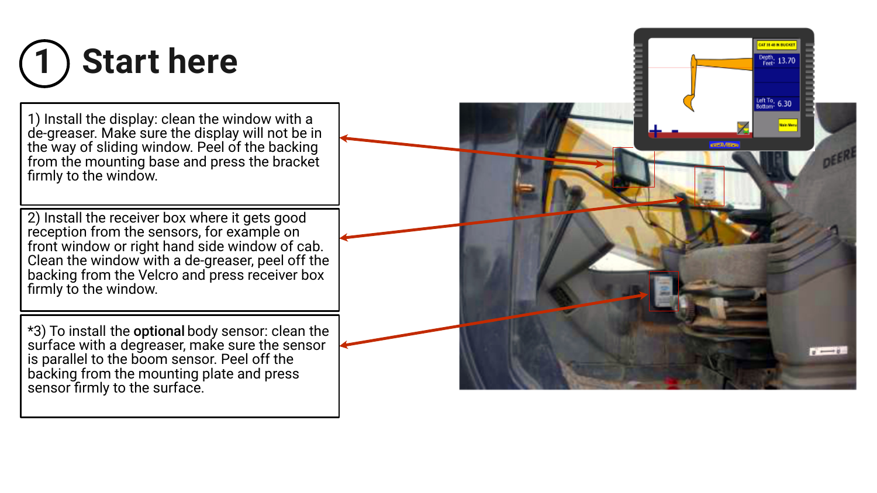

1) Install the display: clean the window with a de-greaser. Make sure the display will not be in the way of sliding window. Peel of the backing from the mounting base and press the bracket firmly to the window.

2) Install the receiver box where it gets good reception from the sensors, for example on front window or right hand side window of cab. Clean the window with a de-greaser, peel off the backing from the Velcro and press receiver box firmly to the window.

\*3) To install the optional body sensor: clean the surface with a degreaser, make sure the sensor is parallel to the boom sensor. Peel off the backing from the mounting plate and press sensor firmly to the surface.

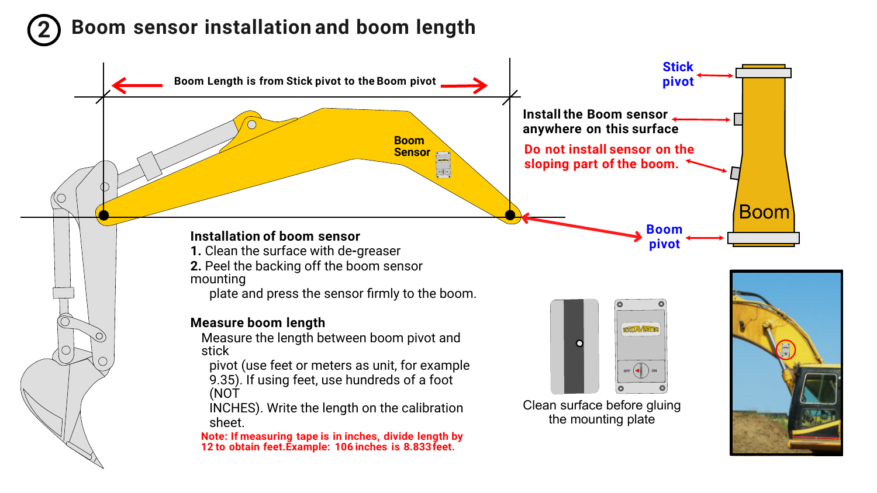### **2 Boom sensor installation and boom length**

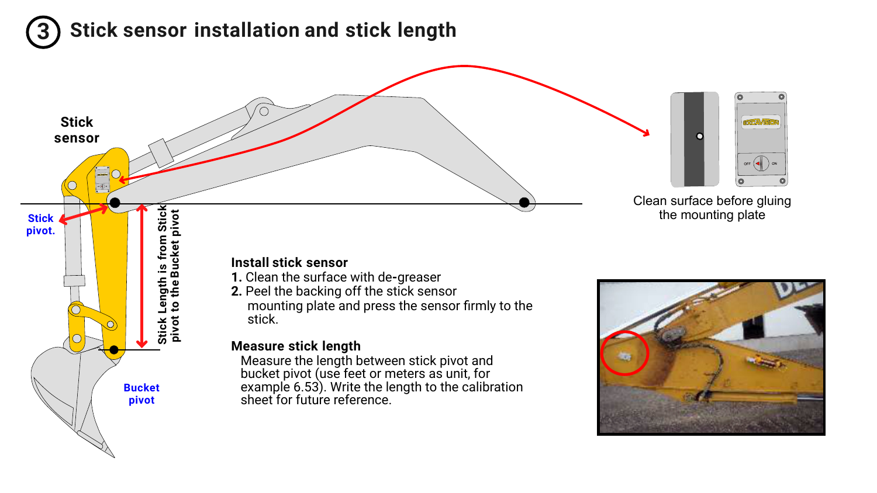# **3 Stick sensor installation and stick length**

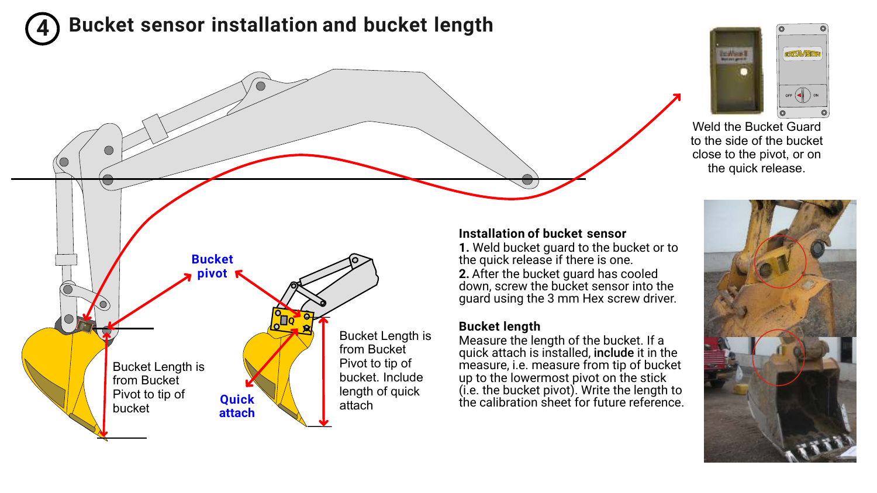## **4 Bucket sensor installation and bucket length**



Weld the Bucket Guard to the side of the bucket close to the pivot, or on the quick release.



#### **Installation of bucket sensor**

**1.** Weld bucket guard to the bucket or to the quick release if there is one. 2. After the bucket guard has cooled down, screw the bucket sensor into the guard using the 3 mm Hex screw driver.

#### **Bucket length**

Measure the length of the bucket. If a quick attach is installed, include it in the measure, i.e. measure from tip of bucket up to the lowermost pivot on the stick (i.e. the bucket pivot). Write the length to the calibration sheet for future reference.

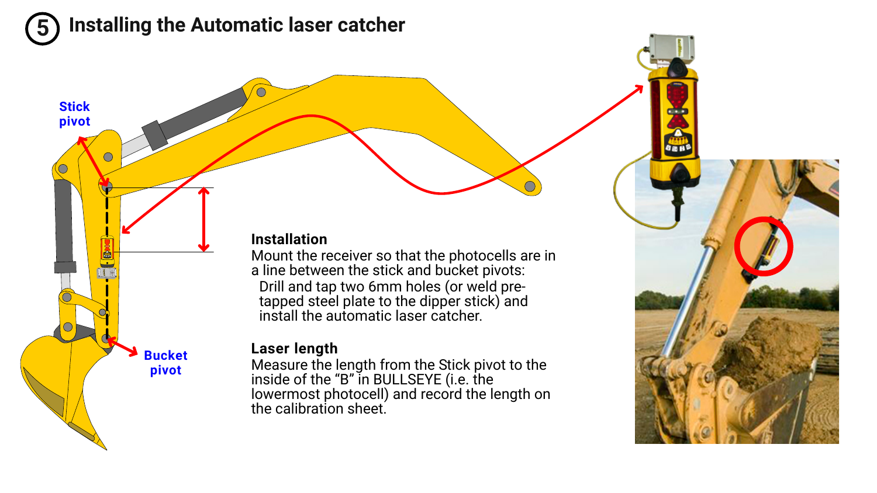### **5 Installing the Automatic laser catcher**

#### **Installation**

Mount the receiver so that the photocells are in a line between the stick and bucket pivots: Drill and tap two 6mm holes (or weld pretapped steel plate to the dipper stick) and install the automatic laser catcher.

#### **Laser length**

Measure the length from the Stick pivot to the inside of the "B" in BULLSEYE (i.e. the lowermost photocell) and record the length on the calibration sheet.



**Bucket pivot**

**Stick pivot**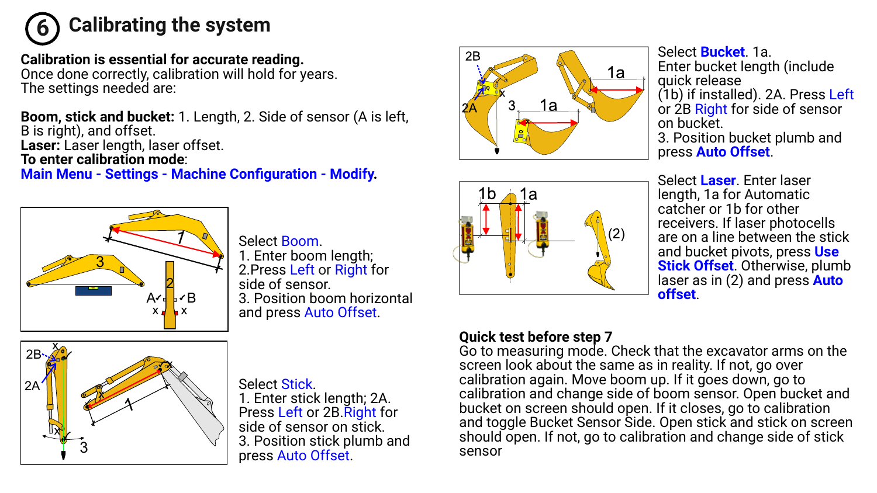

### **Calibration is essential for accurate reading.**

Once done correctly, calibration will hold for years. The settings needed are:

**Boom, stick and bucket:** 1. Length, 2. Side of sensor (A is left, B is right), and offset. **Laser:** Laser length, laser offset. **To enter calibration mode**:

**Main Menu - Settings - Machine Configuration - Modify.**



Select Boom. 1. Enter boom length; 2.Press Left or Right for side of sensor. 3. Position boom horizontal and press Auto Offset.



Select Stick. 1. Enter stick length; 2A. Press Left or 2B Right for side of sensor on stick. 3. Position stick plumb and press Auto Offset.





Select **Bucket**. 1a. Enter bucket length (include quick release (1b) if installed). 2A. Press Left or 2B Right for side of sensor on bucket. 3. Position bucket plumb and press **Auto Offset**.

Select **Laser**. Enter laser length, 1a for Automatic catcher or 1b for other receivers. If laser photocells are on a line between the stick and bucket pivots, press **Use Stick Offset**. Otherwise, plumb laser as in (2) and press **Auto offset**.

### **Quick test before step 7**

Go to measuring mode. Check that the excavator arms on the screen look about the same as in reality. If not, go over calibration again. Move boom up. If it goes down, go to calibration and change side of boom sensor. Open bucket and bucket on screen should open. If it closes, go to calibration and toggle Bucket Sensor Side. Open stick and stick on screen should open. If not, go to calibration and change side of stick sensor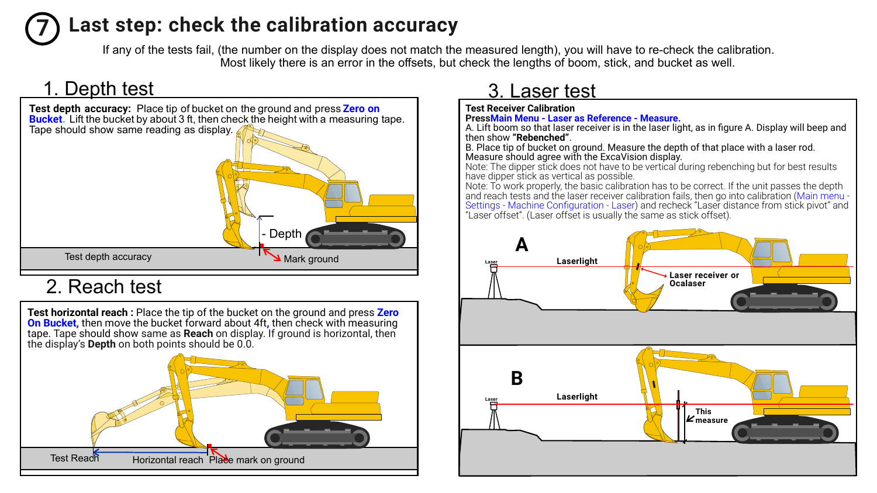## **7 Last step: check the calibration accuracy**

If any of the tests fail, (the number on the display does not match the measured length), you will have to re-check the calibration. Most likely there is an error in the offsets, but check the lengths of boom, stick, and bucket as well.

### 1. Depth test



### 2. Reach test

**Test horizontal reach :** Place the tip of the bucket on the ground and press **Zero On Bucket,** then move the bucket forward about 4ft**,** then check with measuring **table should show same as <b>Reach** on display. If ground is horizontal, then tape. Tape should show same as **Reach** on display. If ground is horizontal, then the display's **Depth** on both points should be 0.0.



# 3. Laser test

**Test Receiver Calibration PressMain Menu - Laser as Reference - Measure.**

A. Lift boom so that laser receiver is in the laser light, as in figure A. Display will beep and then show **"Rebenched"**.

B. Place tip of bucket on ground. Measure the depth of that place with a laser rod. Measure should agree with the ExcaVision display.

Note: The dipper stick does not have to be vertical during rebenching but for best results have dipper stick as vertical as possible.

Note: To work properly, the basic calibration has to be correct. If the unit passes the depth and reach tests and the laser receiver calibration fails, then go into calibration (Main menu Settings - Machine Configuration - Laser) and recheck "Laser distance from stick pivot" and **Setungs - Machine Conniguration - Laser** J and recrieck Laser dr.<br>"Laser offset". (Laser offset is usually the same as stick offset).